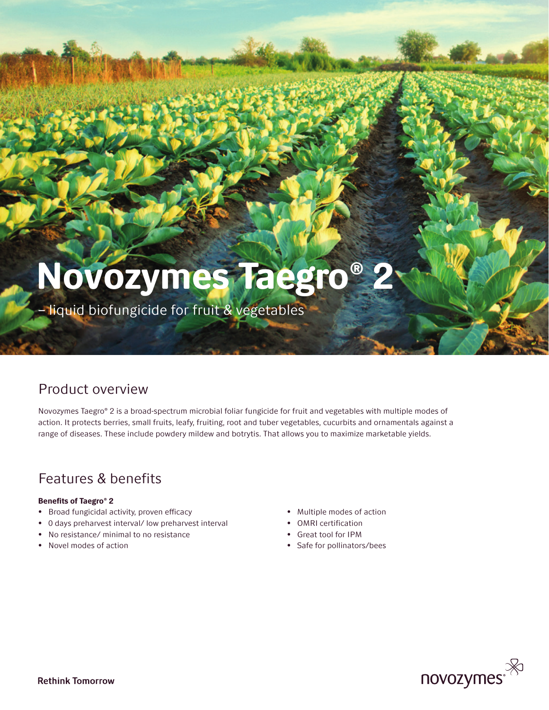# Novozymes Taegro® 2

– liquid biofungicide for fruit & vegetables

### Product overview

Novozymes Taegro® 2 is a broad-spectrum microbial foliar fungicide for fruit and vegetables with multiple modes of action. It protects berries, small fruits, leafy, fruiting, root and tuber vegetables, cucurbits and ornamentals against a range of diseases. These include powdery mildew and botrytis. That allows you to maximize marketable yields.

## Features & benefits

#### Benefits of Taegro® 2

- Broad fungicidal activity, proven efficacy
- 0 days preharvest interval/ low preharvest interval
- No resistance/ minimal to no resistance
- Novel modes of action
- Multiple modes of action
- OMRI certification
- Great tool for IPM
- Safe for pollinators/bees

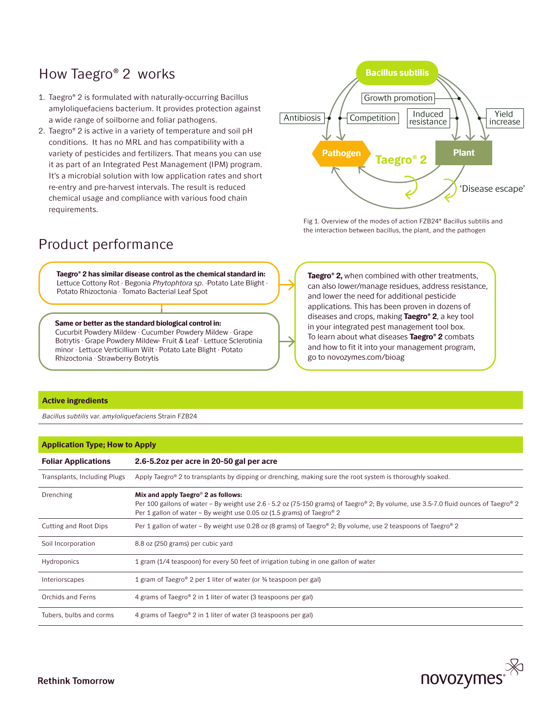## How Taegro® 2 works

- 1. Taegro® 2 is formulated with naturally-occurring Bacillus amyloliquefaciens bacterium. It provides protection against a wide range of soilborne and foliar pathogens.
- 2. Taegro® 2 is active in a variety of temperature and soil pH conditions. It has no MRL and has compatibility with a variety of pesticides and fertilizers. That means you can use it as part of an Integrated Pest Management (IPM) program. It's a microbial solution with low application rates and short re-entry and pre-harvest intervals. The result is reduced chemical usage and compliance with various food chain requirements.

## Bacillus subtilis  $\overline{\text{Antibiosis}}$   $\leftarrow$  Competition  $\leftarrow$  Moduced  $\leftarrow$   $\leftarrow$   $\leftarrow$  Yield increase 'Disease escape' Growth promotion Induced resistance Pathogen Taegro® 2 Plant

Fig 1. Overview of the modes of action FZB24® Bacillus subtilis and the interaction between bacillus, the plant, and the pathogen

### Product performance

Taegro® 2 has similar disease control as the chemical standard in: Lettuce Cottony Rot · Begonia *Phytophtora sp*. ·Potato Late Blight · Potato Rhizoctonia · Tomato Bacterial Leaf Spot

Same or better as the standard biological control in: Cucurbit Powdery Mildew · Cucumber Powdery Mildew · Grape Botrytis · Grape Powdery Mildew- Fruit & Leaf · Lettuce Sclerotinia minor · Lettuce Verticillium Wilt · Potato Late Blight · Potato Rhizoctonia · Strawberry Botrytis

Taegro® 2, when combined with other treatments, can also lower/manage residues, address resistance, and lower the need for additional pesticide applications. This has been proven in dozens of diseases and crops, making **Taegro® 2**, a key tool in your integrated pest management tool box. To learn about what diseases Taegro® 2 combats and how to fit it into your management program, go to novozymes.com/bioag

#### Active ingredients

*Bacillus subtilis* var. *amyloliquefaciens* Strain FZB24

#### Application Type; How to Apply

| <b>Foliar Applications</b>   | 2.6-5.20z per acre in 20-50 gal per acre                                                                                                                                                                                                                                     |  |
|------------------------------|------------------------------------------------------------------------------------------------------------------------------------------------------------------------------------------------------------------------------------------------------------------------------|--|
| Transplants, Including Plugs | Apply Taegro® 2 to transplants by dipping or drenching, making sure the root system is thoroughly soaked.                                                                                                                                                                    |  |
| Drenching                    | Mix and apply Taegro <sup>®</sup> 2 as follows:<br>Per 100 gallons of water – By weight use 2.6 - 5.2 oz (75-150 grams) of Taegro® 2; By volume, use 3.5-7.0 fluid ounces of Taegro® 2<br>Per 1 gallon of water – By weight use 0.05 oz (1.5 grams) of Taegro <sup>®</sup> 2 |  |
| Cutting and Root Dips        | Per 1 gallon of water – By weight use 0.28 oz (8 grams) of Taegro® 2; By volume, use 2 teaspoons of Taegro® 2                                                                                                                                                                |  |
| Soil Incorporation           | 8.8 oz (250 grams) per cubic yard                                                                                                                                                                                                                                            |  |
| <b>Hydroponics</b>           | 1 gram (1/4 teaspoon) for every 50 feet of irrigation tubing in one gallon of water                                                                                                                                                                                          |  |
| Interiorscapes               | 1 gram of Taegro <sup>®</sup> 2 per 1 liter of water (or <sup>3</sup> /4 teaspoon per gal)                                                                                                                                                                                   |  |
| Orchids and Ferns            | 4 grams of Taegro® 2 in 1 liter of water (3 teaspoons per gal)                                                                                                                                                                                                               |  |
| Tubers, bulbs and corms      | 4 grams of Taegro® 2 in 1 liter of water (3 teaspoons per gal)                                                                                                                                                                                                               |  |